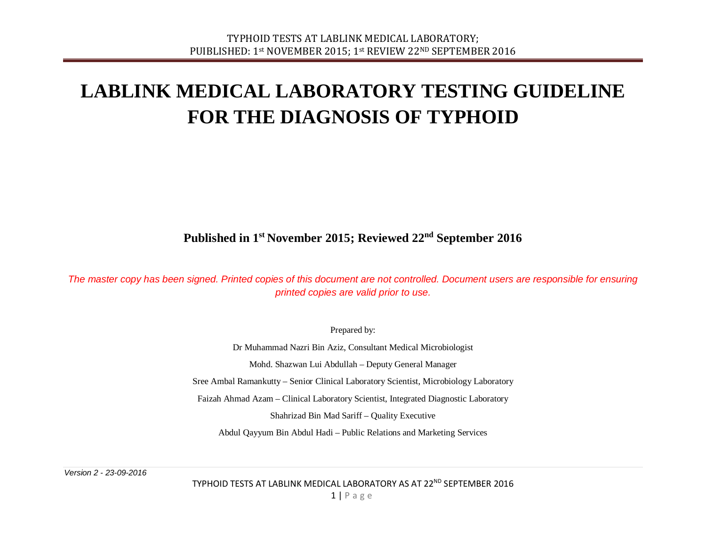# **LABLINK MEDICAL LABORATORY TESTING GUIDELINE FOR THE DIAGNOSIS OF TYPHOID**

**Published in 1st November 2015; Reviewed 22nd September 2016**

*The master copy has been signed. Printed copies of this document are not controlled. Document users are responsible for ensuring printed copies are valid prior to use.*

Prepared by:

Dr Muhammad Nazri Bin Aziz, Consultant Medical Microbiologist Mohd. Shazwan Lui Abdullah – Deputy General Manager Sree Ambal Ramankutty – Senior Clinical Laboratory Scientist, Microbiology Laboratory Faizah Ahmad Azam – Clinical Laboratory Scientist, Integrated Diagnostic Laboratory Shahrizad Bin Mad Sariff – Quality Executive Abdul Qayyum Bin Abdul Hadi – Public Relations and Marketing Services

*Version 2 - 23-09-2016*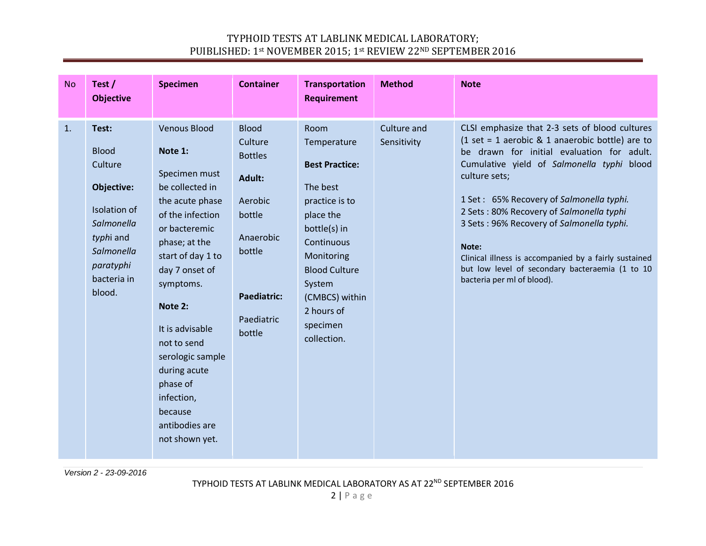| <b>No</b> | Test /<br><b>Objective</b>                                                                                                                    | <b>Specimen</b>                                                                                                                                                                                                                                                                                                                                           | <b>Container</b>                                                                                                                              | <b>Transportation</b><br><b>Requirement</b>                                                                                                                                                                                      | <b>Method</b>              | <b>Note</b>                                                                                                                                                                                                                                                                                                                                                                                                                                                                                              |
|-----------|-----------------------------------------------------------------------------------------------------------------------------------------------|-----------------------------------------------------------------------------------------------------------------------------------------------------------------------------------------------------------------------------------------------------------------------------------------------------------------------------------------------------------|-----------------------------------------------------------------------------------------------------------------------------------------------|----------------------------------------------------------------------------------------------------------------------------------------------------------------------------------------------------------------------------------|----------------------------|----------------------------------------------------------------------------------------------------------------------------------------------------------------------------------------------------------------------------------------------------------------------------------------------------------------------------------------------------------------------------------------------------------------------------------------------------------------------------------------------------------|
| 1.        | Test:<br><b>Blood</b><br>Culture<br>Objective:<br>Isolation of<br>Salmonella<br>typhi and<br>Salmonella<br>paratyphi<br>bacteria in<br>blood. | <b>Venous Blood</b><br>Note 1:<br>Specimen must<br>be collected in<br>the acute phase<br>of the infection<br>or bacteremic<br>phase; at the<br>start of day 1 to<br>day 7 onset of<br>symptoms.<br>Note 2:<br>It is advisable<br>not to send<br>serologic sample<br>during acute<br>phase of<br>infection,<br>because<br>antibodies are<br>not shown yet. | <b>Blood</b><br>Culture<br><b>Bottles</b><br>Adult:<br>Aerobic<br>bottle<br>Anaerobic<br>bottle<br><b>Paediatric:</b><br>Paediatric<br>bottle | Room<br>Temperature<br><b>Best Practice:</b><br>The best<br>practice is to<br>place the<br>bottle(s) in<br>Continuous<br>Monitoring<br><b>Blood Culture</b><br>System<br>(CMBCS) within<br>2 hours of<br>specimen<br>collection. | Culture and<br>Sensitivity | CLSI emphasize that 2-3 sets of blood cultures<br>$(1 set = 1$ aerobic & 1 anaerobic bottle) are to<br>be drawn for initial evaluation for adult.<br>Cumulative yield of Salmonella typhi blood<br>culture sets;<br>1 Set: 65% Recovery of Salmonella typhi.<br>2 Sets: 80% Recovery of Salmonella typhi<br>3 Sets: 96% Recovery of Salmonella typhi.<br>Note:<br>Clinical illness is accompanied by a fairly sustained<br>but low level of secondary bacteraemia (1 to 10<br>bacteria per ml of blood). |

*Version 2 - 23-09-2016*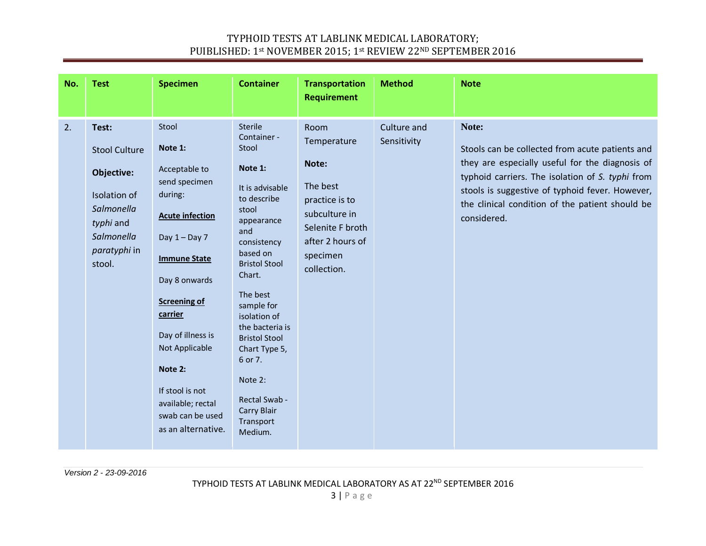| No. | <b>Test</b>                                                                                                                           | <b>Specimen</b>                                                                                                                                                                                                                                                                                                          | <b>Container</b>                                                                                                                                                                                                                                                                                                                                                   | <b>Transportation</b><br><b>Requirement</b>                                                                                                    | <b>Method</b>              | <b>Note</b>                                                                                                                                                                                                                                                                          |
|-----|---------------------------------------------------------------------------------------------------------------------------------------|--------------------------------------------------------------------------------------------------------------------------------------------------------------------------------------------------------------------------------------------------------------------------------------------------------------------------|--------------------------------------------------------------------------------------------------------------------------------------------------------------------------------------------------------------------------------------------------------------------------------------------------------------------------------------------------------------------|------------------------------------------------------------------------------------------------------------------------------------------------|----------------------------|--------------------------------------------------------------------------------------------------------------------------------------------------------------------------------------------------------------------------------------------------------------------------------------|
| 2.  | Test:<br><b>Stool Culture</b><br>Objective:<br>Isolation of<br><b>Salmonella</b><br>typhi and<br>Salmonella<br>paratyphi in<br>stool. | Stool<br>Note 1:<br>Acceptable to<br>send specimen<br>during:<br><b>Acute infection</b><br>Day $1 - Day 7$<br><b>Immune State</b><br>Day 8 onwards<br><b>Screening of</b><br>carrier<br>Day of illness is<br>Not Applicable<br>Note 2:<br>If stool is not<br>available; rectal<br>swab can be used<br>as an alternative. | <b>Sterile</b><br>Container -<br>Stool<br>Note 1:<br>It is advisable<br>to describe<br>stool<br>appearance<br>and<br>consistency<br>based on<br><b>Bristol Stool</b><br>Chart.<br>The best<br>sample for<br>isolation of<br>the bacteria is<br><b>Bristol Stool</b><br>Chart Type 5,<br>6 or 7.<br>Note 2:<br>Rectal Swab -<br>Carry Blair<br>Transport<br>Medium. | Room<br>Temperature<br>Note:<br>The best<br>practice is to<br>subculture in<br>Selenite F broth<br>after 2 hours of<br>specimen<br>collection. | Culture and<br>Sensitivity | Note:<br>Stools can be collected from acute patients and<br>they are especially useful for the diagnosis of<br>typhoid carriers. The isolation of S. typhi from<br>stools is suggestive of typhoid fever. However,<br>the clinical condition of the patient should be<br>considered. |

*Version 2 - 23-09-2016*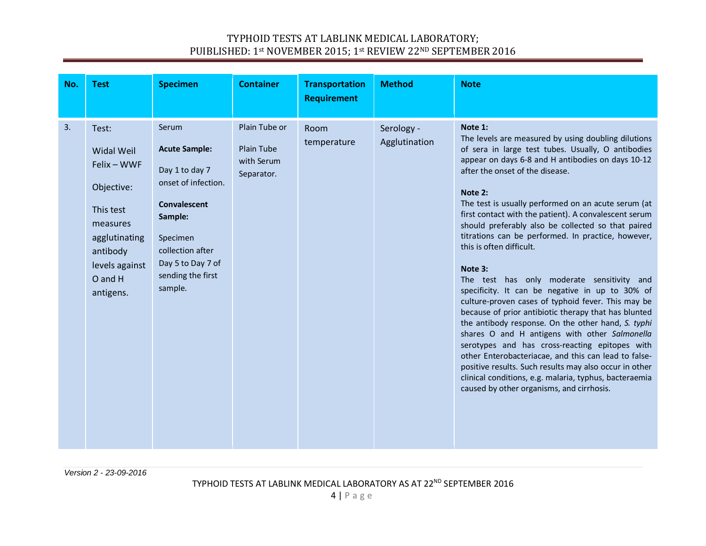| No. | <b>Test</b>                                                                                                                                             | <b>Specimen</b>                                                                                                                                                                               | <b>Container</b>                                        | <b>Transportation</b><br><b>Requirement</b> | <b>Method</b>               | <b>Note</b>                                                                                                                                                                                                                                                                                                                                                                                                                                                                                                                                                                                                                                                                                                                                                                                                                                                                                                                                                                                                                                                                                 |
|-----|---------------------------------------------------------------------------------------------------------------------------------------------------------|-----------------------------------------------------------------------------------------------------------------------------------------------------------------------------------------------|---------------------------------------------------------|---------------------------------------------|-----------------------------|---------------------------------------------------------------------------------------------------------------------------------------------------------------------------------------------------------------------------------------------------------------------------------------------------------------------------------------------------------------------------------------------------------------------------------------------------------------------------------------------------------------------------------------------------------------------------------------------------------------------------------------------------------------------------------------------------------------------------------------------------------------------------------------------------------------------------------------------------------------------------------------------------------------------------------------------------------------------------------------------------------------------------------------------------------------------------------------------|
| 3.  | Test:<br><b>Widal Weil</b><br>Felix - WWF<br>Objective:<br>This test<br>measures<br>agglutinating<br>antibody<br>levels against<br>O and H<br>antigens. | Serum<br><b>Acute Sample:</b><br>Day 1 to day 7<br>onset of infection.<br><b>Convalescent</b><br>Sample:<br>Specimen<br>collection after<br>Day 5 to Day 7 of<br>sending the first<br>sample. | Plain Tube or<br>Plain Tube<br>with Serum<br>Separator. | Room<br>temperature                         | Serology -<br>Agglutination | Note 1:<br>The levels are measured by using doubling dilutions<br>of sera in large test tubes. Usually, O antibodies<br>appear on days 6-8 and H antibodies on days 10-12<br>after the onset of the disease.<br>Note 2:<br>The test is usually performed on an acute serum (at<br>first contact with the patient). A convalescent serum<br>should preferably also be collected so that paired<br>titrations can be performed. In practice, however,<br>this is often difficult.<br>Note 3:<br>The test has only moderate sensitivity and<br>specificity. It can be negative in up to 30% of<br>culture-proven cases of typhoid fever. This may be<br>because of prior antibiotic therapy that has blunted<br>the antibody response. On the other hand, S. typhi<br>shares O and H antigens with other Salmonella<br>serotypes and has cross-reacting epitopes with<br>other Enterobacteriacae, and this can lead to false-<br>positive results. Such results may also occur in other<br>clinical conditions, e.g. malaria, typhus, bacteraemia<br>caused by other organisms, and cirrhosis. |

*Version 2 - 23-09-2016*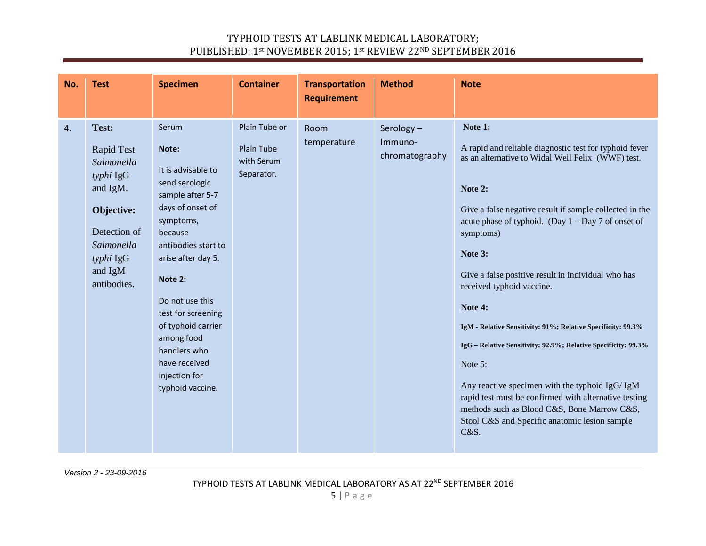| No. | <b>Test</b>                                                                                                                                   | <b>Specimen</b>                                                                                                                                                                                                                                                                                                                   | <b>Container</b>                                        | <b>Transportation</b><br><b>Requirement</b> | <b>Method</b>                          | <b>Note</b>                                                                                                                                                                                                                                                                                                                                                                                                                                                                                                                                                                                                                                                                                                                                 |
|-----|-----------------------------------------------------------------------------------------------------------------------------------------------|-----------------------------------------------------------------------------------------------------------------------------------------------------------------------------------------------------------------------------------------------------------------------------------------------------------------------------------|---------------------------------------------------------|---------------------------------------------|----------------------------------------|---------------------------------------------------------------------------------------------------------------------------------------------------------------------------------------------------------------------------------------------------------------------------------------------------------------------------------------------------------------------------------------------------------------------------------------------------------------------------------------------------------------------------------------------------------------------------------------------------------------------------------------------------------------------------------------------------------------------------------------------|
| 4.  | Test:<br>Rapid Test<br>Salmonella<br>typhi IgG<br>and IgM.<br>Objective:<br>Detection of<br>Salmonella<br>typhi IgG<br>and IgM<br>antibodies. | Serum<br>Note:<br>It is advisable to<br>send serologic<br>sample after 5-7<br>days of onset of<br>symptoms,<br>because<br>antibodies start to<br>arise after day 5.<br>Note 2:<br>Do not use this<br>test for screening<br>of typhoid carrier<br>among food<br>handlers who<br>have received<br>injection for<br>typhoid vaccine. | Plain Tube or<br>Plain Tube<br>with Serum<br>Separator. | Room<br>temperature                         | Serology-<br>Immuno-<br>chromatography | Note 1:<br>A rapid and reliable diagnostic test for typhoid fever<br>as an alternative to Widal Weil Felix (WWF) test.<br>Note 2:<br>Give a false negative result if sample collected in the<br>acute phase of typhoid. (Day $1 - Day 7$ of onset of<br>symptoms)<br>Note 3:<br>Give a false positive result in individual who has<br>received typhoid vaccine.<br>Note 4:<br>IgM - Relative Sensitivity: 91%; Relative Specificity: 99.3%<br>IgG – Relative Sensitivity: 92.9%; Relative Specificity: 99.3%<br>Note 5:<br>Any reactive specimen with the typhoid IgG/ IgM<br>rapid test must be confirmed with alternative testing<br>methods such as Blood C&S, Bone Marrow C&S,<br>Stool C&S and Specific anatomic lesion sample<br>C&S. |

*Version 2 - 23-09-2016*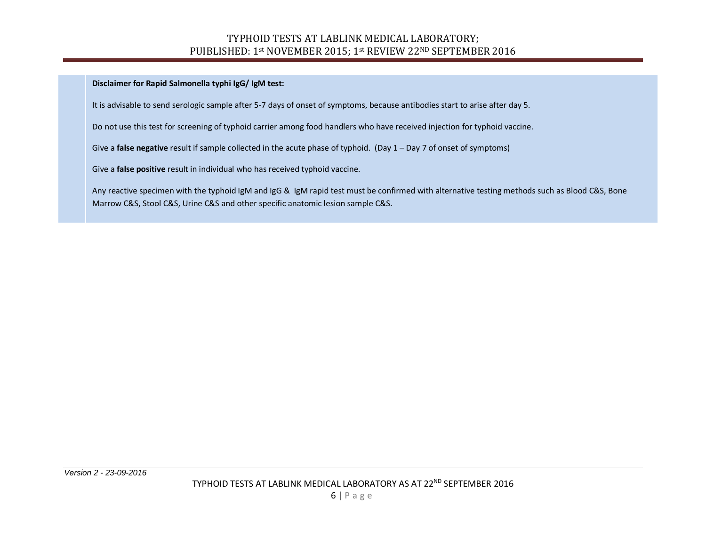**Disclaimer for Rapid Salmonella typhi IgG/ IgM test:**

It is advisable to send serologic sample after 5-7 days of onset of symptoms, because antibodies start to arise after day 5.

Do not use this test for screening of typhoid carrier among food handlers who have received injection for typhoid vaccine.

Give a **false negative** result if sample collected in the acute phase of typhoid. (Day 1 – Day 7 of onset of symptoms)

Give a **false positive** result in individual who has received typhoid vaccine.

Any reactive specimen with the typhoid IgM and IgG & IgM rapid test must be confirmed with alternative testing methods such as Blood C&S, Bone Marrow C&S, Stool C&S, Urine C&S and other specific anatomic lesion sample C&S.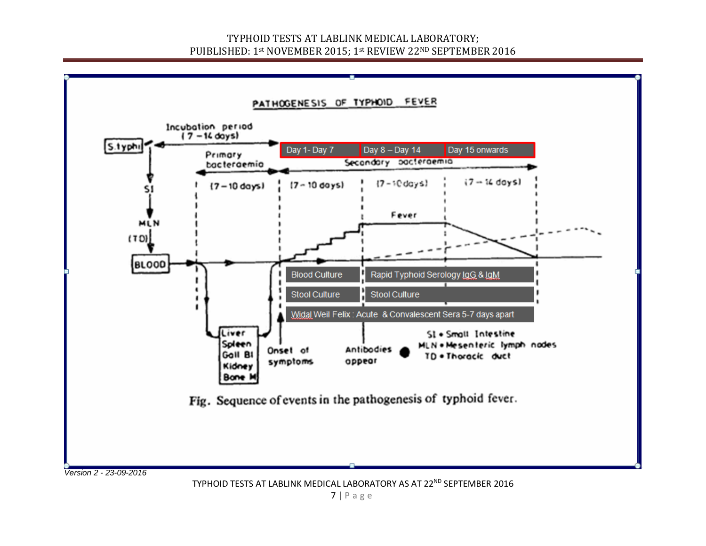

TYPHOID TESTS AT LABLINK MEDICAL LABORATORY AS AT 22<sup>ND</sup> SEPTEMBER 2016

7 | Page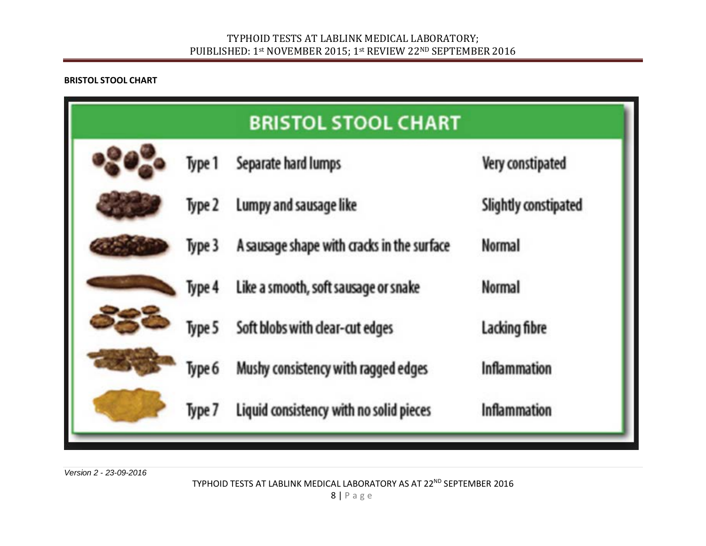#### **BRISTOL STOOL CHART**

| <b>BRISTOL STOOL CHART</b> |        |                                            |                      |  |  |  |  |  |
|----------------------------|--------|--------------------------------------------|----------------------|--|--|--|--|--|
| Type 1                     |        | Separate hard lumps                        | Very constipated     |  |  |  |  |  |
|                            | Type 2 | Lumpy and sausage like                     | Slightly constipated |  |  |  |  |  |
| Type 3                     |        | A sausage shape with cracks in the surface | <b>Normal</b>        |  |  |  |  |  |
|                            | Type 4 | Like a smooth, soft sausage or snake       | <b>Normal</b>        |  |  |  |  |  |
| Type 5<br>Type 6           |        | Soft blobs with clear-cut edges            | Lacking fibre        |  |  |  |  |  |
|                            |        | Mushy consistency with ragged edges        | <b>Inflammation</b>  |  |  |  |  |  |
|                            | Type 7 | Liquid consistency with no solid pieces    | Inflammation         |  |  |  |  |  |

*Version 2 - 23-09-2016*